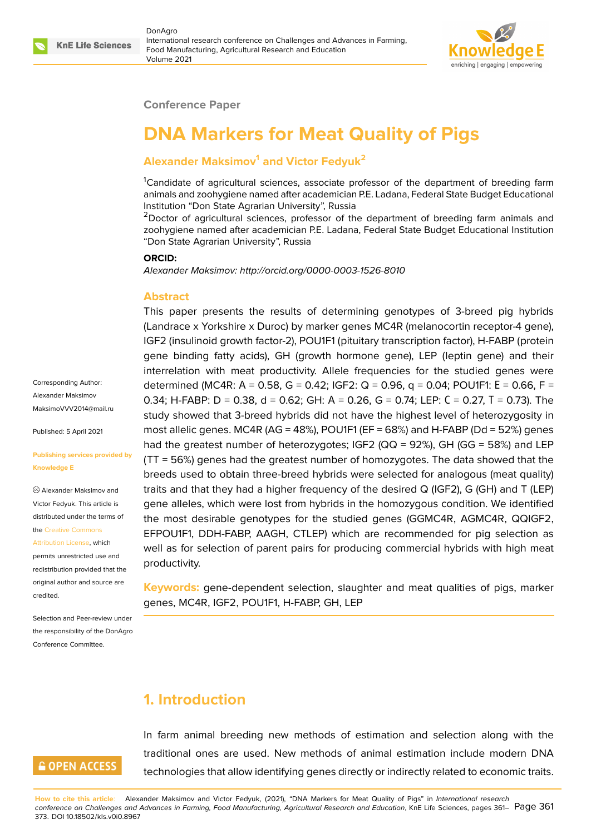

### **Conference Paper**

# **DNA Markers for Meat Quality of Pigs**

### **Alexander Maksimov<sup>1</sup> and Victor Fedyuk<sup>2</sup>**

<sup>1</sup>Candidate of agricultural sciences, associate professor of the department of breeding farm animals and zoohygiene named after academician P.E. Ladana, Federal State Budget Educational Institution "Don State Agrarian University", Russia

<sup>2</sup>Doctor of agricultural sciences, professor of the department of breeding farm animals and zoohygiene named after academician P.E. Ladana, Federal State Budget Educational Institution "Don State Agrarian University", Russia

#### **ORCID:**

*Alexander Maksimov: http://orcid.org/0000-0003-1526-8010*

### **Abstract**

This paper presents the results of determining genotypes of 3-breed pig hybrids (Landrace x Yorkshire x Duroc) by marker genes MC4R (melanocortin receptor-4 gene), IGF2 (insulinoid growth factor-2), POU1F1 (pituitary transcription factor), H-FABP (protein gene binding fatty acids), GH (growth hormone gene), LEP (leptin gene) and their interrelation with meat productivity. Allele frequencies for the studied genes were determined (MC4R: A = 0.58, G = 0.42; IGF2: Q = 0.96, q = 0.04; POU1F1: E = 0.66, F = 0.34; H-FABP:  $D = 0.38$ ,  $d = 0.62$ ; GH: A = 0.26, G = 0.74; LEP: C = 0.27, T = 0.73). The study showed that 3-breed hybrids did not have the highest level of heterozygosity in most allelic genes. MC4R (AG = 48%), POU1F1 (EF = 68%) and H-FABP (Dd = 52%) genes had the greatest number of heterozygotes; IGF2 (QQ = 92%), GH (GG = 58%) and LEP (TT = 56%) genes had the greatest number of homozygotes. The data showed that the breeds used to obtain three-breed hybrids were selected for analogous (meat quality) traits and that they had a higher frequency of the desired Q (IGF2), G (GH) and T (LEP) gene alleles, which were lost from hybrids in the homozygous condition. We identified the most desirable genotypes for the studied genes (GGMC4R, AGMC4R, QQIGF2, EFPOU1F1, DDH-FABP, AAGH, CTLEP) which are recommended for pig selection as well as for selection of parent pairs for producing commercial hybrids with high meat productivity.

**Keywords:** gene-dependent selection, slaughter and meat qualities of pigs, marker genes, MC4R, IGF2, POU1F1, H-FABP, GH, LEP

## **1. Introduction**

## **GOPEN ACCESS**

Corresponding Author: Alexander Maksimov MaksimoVVV2014@mail.ru

Published: 5 April 2021

**Knowledge E**

[credited.](https://creativecommons.org/licenses/by/4.0/)

**[Publishing services provid](mailto:MaksimoVVV2014@mail.ru)ed by**

Alexander Maksimov and Victor Fedyuk. This article is distributed under the terms of the Creative Commons Attribution License, which permits unrestricted use and redistribution provided that the orig[inal author and sou](https://creativecommons.org/licenses/by/4.0/)rce are

Selection and Peer-review under the responsibility of the DonAgro Conference Committee.

> In farm animal breeding new methods of estimation and selection along with the traditional ones are used. New methods of animal estimation include modern DNA technologies that allow identifying genes directly or indirectly related to economic traits.

**How to cite this article**: Alexander Maksimov and Victor Fedyuk, (2021), "DNA Markers for Meat Quality of Pigs" in *International research conference on Challenges and Advances in Farming, Food Manufacturing, Agricultural Research and Education*, KnE Life Sciences, pages 361– Page 361 373. DOI 10.18502/kls.v0i0.8967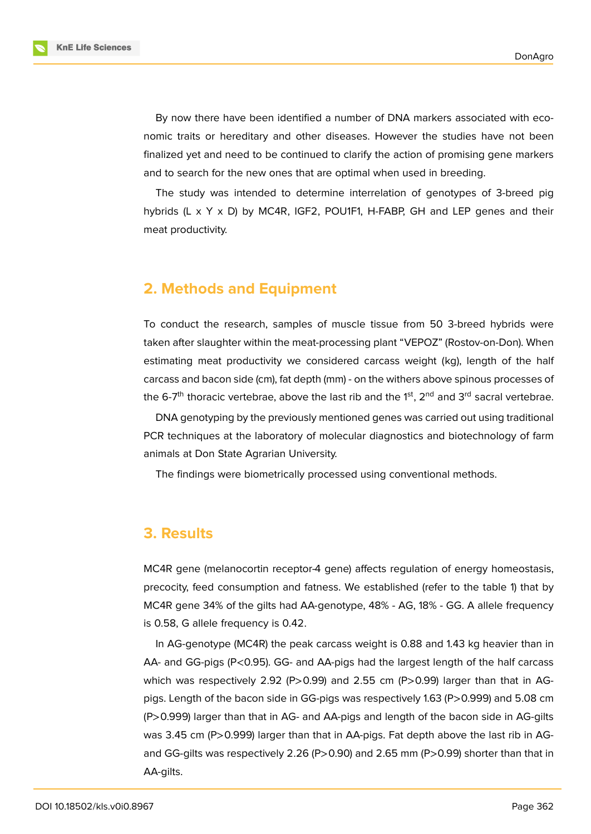By now there have been identified a number of DNA markers associated with economic traits or hereditary and other diseases. However the studies have not been finalized yet and need to be continued to clarify the action of promising gene markers and to search for the new ones that are optimal when used in breeding.

The study was intended to determine interrelation of genotypes of 3-breed pig hybrids (L x Y x D) by MC4R, IGF2, POU1F1, H-FABP, GH and LEP genes and their meat productivity.

### **2. Methods and Equipment**

To conduct the research, samples of muscle tissue from 50 3-breed hybrids were taken after slaughter within the meat-processing plant "VEPOZ" (Rostov-on-Don). When estimating meat productivity we considered carcass weight (kg), length of the half carcass and bacon side (cm), fat depth (mm) - on the withers above spinous processes of the 6-7<sup>th</sup> thoracic vertebrae, above the last rib and the  $1<sup>st</sup>$ ,  $2<sup>nd</sup>$  and  $3<sup>rd</sup>$  sacral vertebrae.

DNA genotyping by the previously mentioned genes was carried out using traditional PCR techniques at the laboratory of molecular diagnostics and biotechnology of farm animals at Don State Agrarian University.

The findings were biometrically processed using conventional methods.

### **3. Results**

MC4R gene (melanocortin receptor-4 gene) affects regulation of energy homeostasis, precocity, feed consumption and fatness. We established (refer to the table 1) that by MC4R gene 34% of the gilts had AA-genotype, 48% - AG, 18% - GG. A allele frequency is 0.58, G allele frequency is 0.42.

In AG-genotype (MC4R) the peak carcass weight is 0.88 and 1.43 kg heavier than in AA- and GG-pigs (P<0.95). GG- and AA-pigs had the largest length of the half carcass which was respectively 2.92 (P>0.99) and 2.55 cm (P>0.99) larger than that in AGpigs. Length of the bacon side in GG-pigs was respectively 1.63 (P>0.999) and 5.08 cm (P>0.999) larger than that in AG- and AA-pigs and length of the bacon side in AG-gilts was 3.45 cm (P>0.999) larger than that in AA-pigs. Fat depth above the last rib in AGand GG-gilts was respectively 2.26 (P>0.90) and 2.65 mm (P>0.99) shorter than that in AA-gilts.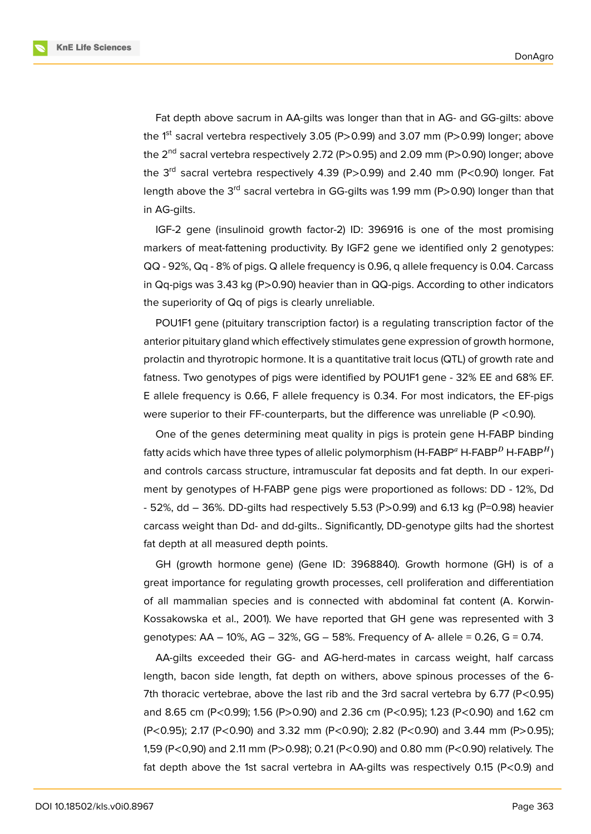Fat depth above sacrum in AA-gilts was longer than that in AG- and GG-gilts: above the  $1<sup>st</sup>$  sacral vertebra respectively 3.05 (P $>0.99$ ) and 3.07 mm (P $>0.99$ ) longer; above the  $2^{nd}$  sacral vertebra respectively 2.72 (P $>$ 0.95) and 2.09 mm (P $>$ 0.90) longer; above the  $3<sup>rd</sup>$  sacral vertebra respectively 4.39 (P>0.99) and 2.40 mm (P<0.90) longer. Fat length above the  $3<sup>rd</sup>$  sacral vertebra in GG-gilts was 1.99 mm (P>0.90) longer than that in AG-gilts.

IGF-2 gene (insulinoid growth factor-2) ID: 396916 is one of the most promising markers of meat-fattening productivity. By IGF2 gene we identified only 2 genotypes: QQ - 92%, Qq - 8% of pigs. Q allele frequency is 0.96, q allele frequency is 0.04. Carcass in Qq-pigs was 3.43 kg (P>0.90) heavier than in QQ-pigs. According to other indicators the superiority of Qq of pigs is clearly unreliable.

POU1F1 gene (pituitary transcription factor) is a regulating transcription factor of the anterior pituitary gland which effectively stimulates gene expression of growth hormone, prolactin and thyrotropic hormone. It is a quantitative trait locus (QTL) of growth rate and fatness. Two genotypes of pigs were identified by POU1F1 gene - 32% EE and 68% EF. E allele frequency is 0.66, F allele frequency is 0.34. For most indicators, the EF-pigs were superior to their FF-counterparts, but the difference was unreliable (P <0.90).

One of the genes determining meat quality in pigs is protein gene H-FABP binding fatty acids which have three types of allelic polymorphism (H-FABP<sup>a</sup> H-FABP<sup>D</sup> H-FABP<sup>H</sup>) and controls carcass structure, intramuscular fat deposits and fat depth. In our experiment by genotypes of H-FABP gene pigs were proportioned as follows: DD - 12%, Dd  $-$  52%, dd  $-$  36%. DD-gilts had respectively 5.53 (P>0.99) and 6.13 kg (P=0.98) heavier carcass weight than Dd- and dd-gilts.. Significantly, DD-genotype gilts had the shortest fat depth at all measured depth points.

GH (growth hormone gene) (Gene ID: 3968840). Growth hormone (GH) is of a great importance for regulating growth processes, cell proliferation and differentiation of all mammalian species and is connected with abdominal fat content (A. Korwin-Kossakowska et al., 2001). We have reported that GH gene was represented with 3 genotypes:  $AA - 10\%$ ,  $AG - 32\%$ ,  $GG - 58\%$ . Frequency of A- allele = 0.26,  $G = 0.74$ .

AA-gilts exceeded their GG- and AG-herd-mates in carcass weight, half carcass length, bacon side length, fat depth on withers, above spinous processes of the 6- 7th thoracic vertebrae, above the last rib and the 3rd sacral vertebra by 6.77 (P<0.95) and 8.65 cm (P<0.99); 1.56 (P>0.90) and 2.36 cm (P<0.95); 1.23 (P<0.90) and 1.62 cm (P<0.95); 2.17 (P<0.90) and 3.32 mm (P<0.90); 2.82 (P<0.90) and 3.44 mm (P>0.95); 1,59 (P<0,90) and 2.11 mm (P>0.98); 0.21 (P<0.90) and 0.80 mm (P<0.90) relatively. The fat depth above the 1st sacral vertebra in AA-gilts was respectively 0.15 (P<0.9) and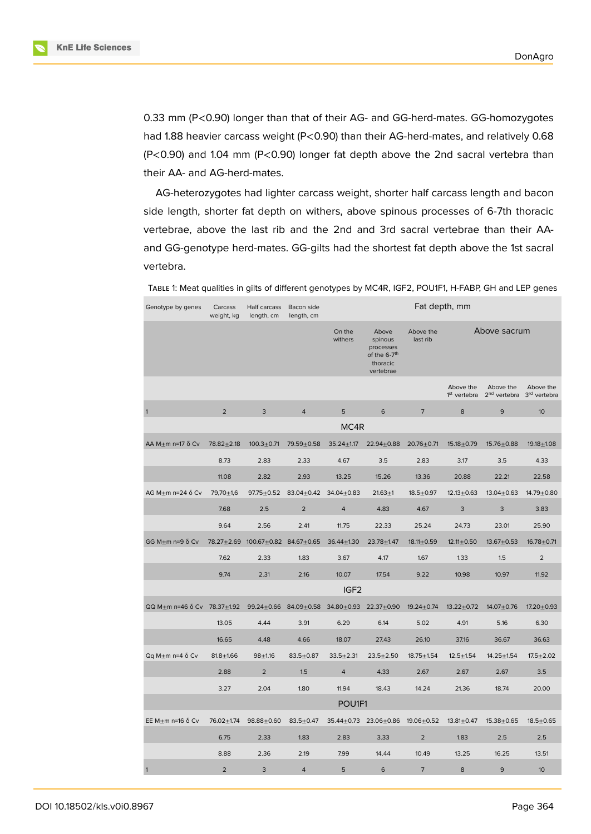0.33 mm (P<0.90) longer than that of their AG- and GG-herd-mates. GG-homozygotes had 1.88 heavier carcass weight (P<0.90) than their AG-herd-mates, and relatively 0.68 (P<0.90) and 1.04 mm (P<0.90) longer fat depth above the 2nd sacral vertebra than their AA- and AG-herd-mates.

AG-heterozygotes had lighter carcass weight, shorter half carcass length and bacon side length, shorter fat depth on withers, above spinous processes of 6-7th thoracic vertebrae, above the last rib and the 2nd and 3rd sacral vertebrae than their AAand GG-genotype herd-mates. GG-gilts had the shortest fat depth above the 1st sacral vertebra.

TABLE 1: Meat qualities in gilts of different genotypes by MC4R, IGF2, POU1F1, H-FABP, GH and LEP genes

| Genotype by genes                              | Carcass<br>weight, kg | Half carcass<br>length, cm        | Bacon side<br>length, cm          | Fat depth, mm     |                                                                                    |                       |                                       |                                                                |                  |
|------------------------------------------------|-----------------------|-----------------------------------|-----------------------------------|-------------------|------------------------------------------------------------------------------------|-----------------------|---------------------------------------|----------------------------------------------------------------|------------------|
|                                                |                       |                                   |                                   | On the<br>withers | Above<br>spinous<br>processes<br>of the 6-7 <sup>th</sup><br>thoracic<br>vertebrae | Above the<br>last rib | Above sacrum                          |                                                                |                  |
|                                                |                       |                                   |                                   |                   |                                                                                    |                       | Above the<br>1 <sup>st</sup> vertebra | Above the<br>2 <sup>nd</sup> vertebra 3 <sup>rd</sup> vertebra | Above the        |
| $\mathbf{1}$                                   | $\overline{2}$        | 3                                 | $\overline{4}$                    | 5                 | 6                                                                                  | $\overline{7}$        | 8                                     | 9                                                              | 10 <sup>10</sup> |
| MC4R                                           |                       |                                   |                                   |                   |                                                                                    |                       |                                       |                                                                |                  |
| AA M $±$ m n=17 δ Cν                           | $78.82 \pm 2.18$      | $100.3 + 0.71$                    | 79.59±0.58                        | $35.24 \pm 1.17$  | $22.94 \pm 0.88$                                                                   | $20.76 \pm 0.71$      | $15.18 \pm 0.79$                      | $15.76 \pm 0.88$                                               | $19.18 + 1.08$   |
|                                                | 8.73                  | 2.83                              | 2.33                              | 4.67              | 3.5                                                                                | 2.83                  | 3.17                                  | 3.5                                                            | 4.33             |
|                                                | 11.08                 | 2.82                              | 2.93                              | 13.25             | 15.26                                                                              | 13.36                 | 20.88                                 | 22.21                                                          | 22.58            |
| AG M+m n=24 $\delta$ Cv                        | 79,70±1,6             | $97.75 \pm 0.52$                  | $83.04 \pm 0.42$                  | $34.04 \pm 0.83$  | $21.63 + 1$                                                                        | $18.5 \pm 0.97$       | $12.13 \pm 0.63$                      | $13.04 \pm 0.63$                                               | 14.79±0.80       |
|                                                | 7.68                  | 2.5                               | $\overline{2}$                    | $\overline{4}$    | 4.83                                                                               | 4.67                  | 3                                     | 3                                                              | 3.83             |
|                                                | 9.64                  | 2.56                              | 2.41                              | 11.75             | 22.33                                                                              | 25.24                 | 24.73                                 | 23.01                                                          | 25.90            |
| GG M $\pm$ m n=9 $\delta$ Cv                   |                       | 78.27±2.69 100.67±0.82 84.67±0.65 |                                   | $36.44 \pm 1.30$  | $23.78 + 1.47$                                                                     | $18.11 \pm 0.59$      | $12.11 \pm 0.50$                      | $13.67 + 0.53$                                                 | $16.78 + 0.71$   |
|                                                | 7.62                  | 2.33                              | 1.83                              | 3.67              | 4.17                                                                               | 1.67                  | 1.33                                  | 1.5                                                            | 2                |
|                                                | 9.74                  | 2.31                              | 2.16                              | 10.07             | 17.54                                                                              | 9.22                  | 10.98                                 | 10.97                                                          | 11.92            |
|                                                |                       |                                   |                                   | IGF <sub>2</sub>  |                                                                                    |                       |                                       |                                                                |                  |
| QQ M $\pm$ m n=46 $\delta$ Cv 78.37 $\pm$ 1.92 |                       |                                   | $99.24 \pm 0.66$ 84.09 $\pm$ 0.58 | $34.80 \pm 0.93$  | $22.37 \pm 0.90$                                                                   | $19.24 \pm 0.74$      | $13.22 \pm 0.72$                      | $14.07 + 0.76$                                                 | $17.20 \pm 0.93$ |
|                                                | 13.05                 | 4.44                              | 3.91                              | 6.29              | 6.14                                                                               | 5.02                  | 4.91                                  | 5.16                                                           | 6.30             |
|                                                | 16.65                 | 4.48                              | 4.66                              | 18.07             | 27.43                                                                              | 26.10                 | 37.16                                 | 36.67                                                          | 36.63            |
| Qq M $±$ m n=4 δ Cν                            | $81.8 + 1.66$         | $98 + 1.16$                       | $83.5 \pm 0.87$                   | $33.5 \pm 2.31$   | $23.5 \pm 2.50$                                                                    | $18.75 + 1.54$        | $12.5 \pm 1.54$                       | $14.25 + 1.54$                                                 | $17.5 \pm 2.02$  |
|                                                | 2.88                  | $\overline{2}$                    | 1.5                               | $\overline{4}$    | 4.33                                                                               | 2.67                  | 2.67                                  | 2.67                                                           | 3.5              |
|                                                | 3.27                  | 2.04                              | 1.80                              | 11.94             | 18.43                                                                              | 14.24                 | 21.36                                 | 18.74                                                          | 20.00            |
| POU1F1                                         |                       |                                   |                                   |                   |                                                                                    |                       |                                       |                                                                |                  |
| EE M $\pm$ m n=16 δ Cν                         | $76.02 \pm 1.74$      | $98.88 \pm 0.60$                  | $83.5 \pm 0.47$                   |                   | $35.44 \pm 0.73$ 23.06 $\pm$ 0.86                                                  | 19.06±0.52            | $13.81 \pm 0.47$                      | $15.38 + 0.65$                                                 | $18.5 \pm 0.65$  |
|                                                | 6.75                  | 2.33                              | 1.83                              | 2.83              | 3.33                                                                               | $\overline{2}$        | 1.83                                  | 2.5                                                            | 2.5              |
|                                                | 8.88                  | 2.36                              | 2.19                              | 7.99              | 14.44                                                                              | 10.49                 | 13.25                                 | 16.25                                                          | 13.51            |
| $\overline{1}$                                 | $\overline{2}$        | 3                                 | $\overline{4}$                    | 5                 | 6                                                                                  | $\overline{7}$        | 8                                     | 9                                                              | 10               |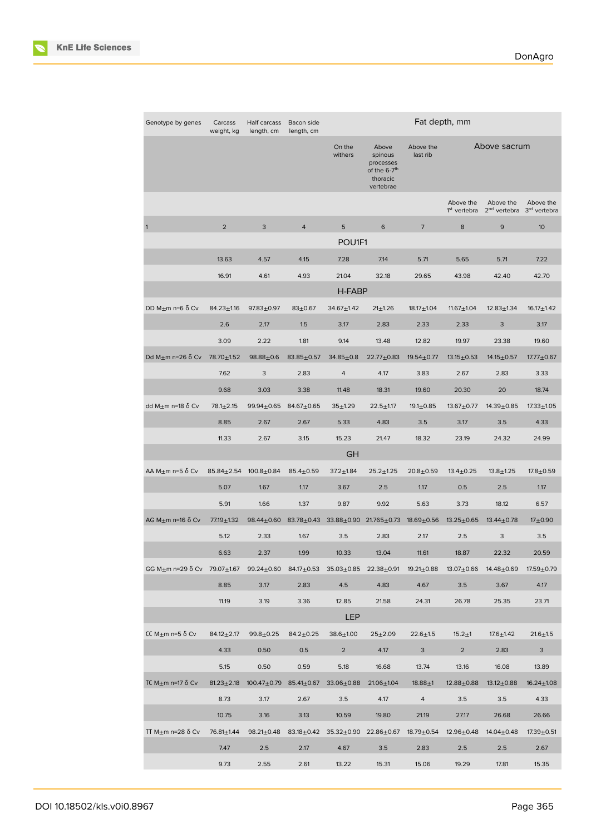

| Genotype by genes                                                                                                          | Carcass<br>weight, kg | Half carcass<br>length, cm | Bacon side<br>length, cm           | Fat depth, mm                                                                |                                                                                    |                       |                                       |                                                                |                  |
|----------------------------------------------------------------------------------------------------------------------------|-----------------------|----------------------------|------------------------------------|------------------------------------------------------------------------------|------------------------------------------------------------------------------------|-----------------------|---------------------------------------|----------------------------------------------------------------|------------------|
|                                                                                                                            |                       |                            |                                    | On the<br>withers                                                            | Above<br>spinous<br>processes<br>of the 6-7 <sup>th</sup><br>thoracic<br>vertebrae | Above the<br>last rib | Above sacrum                          |                                                                |                  |
|                                                                                                                            |                       |                            |                                    |                                                                              |                                                                                    |                       | Above the<br>1 <sup>st</sup> vertebra | Above the<br>2 <sup>nd</sup> vertebra 3 <sup>rd</sup> vertebra | Above the        |
| $\vert$                                                                                                                    | $\overline{2}$        | 3                          | $\overline{4}$                     | 5                                                                            | 6                                                                                  | $\overline{7}$        | 8                                     | 9                                                              | 10               |
|                                                                                                                            |                       |                            |                                    | POU1F1                                                                       |                                                                                    |                       |                                       |                                                                |                  |
|                                                                                                                            | 13.63                 | 4.57                       | 4.15                               | 7.28                                                                         | 7.14                                                                               | 5.71                  | 5.65                                  | 5.71                                                           | 7.22             |
|                                                                                                                            | 16.91                 | 4.61                       | 4.93                               | 21.04                                                                        | 32.18                                                                              | 29.65                 | 43.98                                 | 42.40                                                          | 42.70            |
|                                                                                                                            |                       |                            |                                    | H-FABP                                                                       |                                                                                    |                       |                                       |                                                                |                  |
| DD M $\pm$ m n=6 δ Cν                                                                                                      | $84.23 \pm 1.16$      | $97.83 + 0.97$             | $83 + 0.67$                        | $34.67 \pm 1.42$                                                             | $21 \pm 1.26$                                                                      | $18.17 + 1.04$        | $11.67 + 1.04$                        | $12.83 \pm 1.34$                                               | $16.17 \pm 1.42$ |
|                                                                                                                            | 2.6                   | 2.17                       | 1.5                                | 3.17                                                                         | 2.83                                                                               | 2.33                  | 2.33                                  | 3                                                              | 3.17             |
|                                                                                                                            | 3.09                  | 2.22                       | 1.81                               | 9.14                                                                         | 13.48                                                                              | 12.82                 | 19.97                                 | 23.38                                                          | 19.60            |
| Dd M $\pm$ m n=26 δ Cν                                                                                                     | 78.70±1.52            | $98.88 \pm 0.6$            | $83.85 \pm 0.57$                   | $34.85 \pm 0.8$                                                              | $22.77 \pm 0.83$                                                                   | $19.54 \pm 0.77$      | $13.15 \pm 0.53$                      | $14.15 \pm 0.57$                                               | $17.77 \pm 0.67$ |
|                                                                                                                            | 7.62                  | 3                          | 2.83                               | 4                                                                            | 4.17                                                                               | 3.83                  | 2.67                                  | 2.83                                                           | 3.33             |
|                                                                                                                            | 9.68                  | 3.03                       | 3.38                               | 11.48                                                                        | 18.31                                                                              | 19.60                 | 20.30                                 | 20                                                             | 18.74            |
| dd M $\pm$ m n=18 δ Cν                                                                                                     | $78.1 \pm 2.15$       | $99.94 \pm 0.65$           | $84.67 \pm 0.65$                   | $35 + 1.29$                                                                  | $22.5 \pm 1.17$                                                                    | $19.1 \pm 0.85$       | $13.67 + 0.77$                        | 14.39±0.85                                                     | $17.33 \pm 1.05$ |
|                                                                                                                            | 8.85                  | 2.67                       | 2.67                               | 5.33                                                                         | 4.83                                                                               | 3.5                   | 3.17                                  | 3.5                                                            | 4.33             |
|                                                                                                                            | 11.33                 | 2.67                       | 3.15                               | 15.23                                                                        | 21.47                                                                              | 18.32                 | 23.19                                 | 24.32                                                          | 24.99            |
|                                                                                                                            |                       |                            |                                    | GH                                                                           |                                                                                    |                       |                                       |                                                                |                  |
| AA M $\pm$ m n=5 δ Cν                                                                                                      | $85.84 \pm 2.54$      | $100.8 + 0.84$             | $85.4 \pm 0.59$                    | $37.2 \pm 1.84$                                                              | $25.2 \pm 1.25$                                                                    | $20.8 \pm 0.59$       | $13.4 \pm 0.25$                       | $13.8 \pm 1.25$                                                | $17.8 \pm 0.59$  |
|                                                                                                                            | 5.07                  | 1.67                       | 1.17                               | 3.67                                                                         | 2.5                                                                                | 1.17                  | 0.5                                   | 2.5                                                            | 1.17             |
|                                                                                                                            | 5.91                  | 1.66                       | 1.37                               | 9.87                                                                         | 9.92                                                                               | 5.63                  | 3.73                                  | 18.12                                                          | 6.57             |
| AG M $\pm$ m n=16 $\delta$ Cv                                                                                              | 77.19±1.32            | $98.44 \pm 0.60$           | $83.78 \pm 0.43$                   | 33.88±0.90 21.765±0.73                                                       |                                                                                    | $18.69 + 0.56$        | $13.25 \pm 0.65$                      | $13.44 \pm 0.78$                                               | $17 + 0.90$      |
|                                                                                                                            | 5.12                  | 2.33                       | 1.67                               | 3.5                                                                          | 2.83                                                                               | 2.17                  | 2.5                                   | 3                                                              | 3.5              |
|                                                                                                                            | 6.63                  | 2.37                       | 1.99                               | 10.33                                                                        | 13.04                                                                              | 11.61                 | 18.87                                 | 22.32                                                          | 20.59            |
| GG M±m n=29 $\delta$ Cv 79.07±1.67 99.24±0.60 84.17±0.53 35.03±0.85 22.38±0.91 19.21±0.88 13.07±0.66 14.48±0.69 17.59±0.79 |                       |                            |                                    |                                                                              |                                                                                    |                       |                                       |                                                                |                  |
|                                                                                                                            | 8.85                  | 3.17                       | 2.83                               | 4.5                                                                          | 4.83                                                                               | 4.67                  | 3.5                                   | 3.67                                                           | 4.17             |
|                                                                                                                            | 11.19                 | 3.19                       | 3.36                               | 12.85                                                                        | 21.58                                                                              | 24.31                 | 26.78                                 | 25.35                                                          | 23.71            |
| <b>LEP</b>                                                                                                                 |                       |                            |                                    |                                                                              |                                                                                    |                       |                                       |                                                                |                  |
| CC M+m n=5 $\delta$ Cv                                                                                                     | $84.12 \pm 2.17$      | $99.8 \pm 0.25$            | $84.2 \pm 0.25$                    | $38.6 \pm 1.00$                                                              | $25 + 2.09$                                                                        | $22.6 \pm 1.5$        | $15.2 + 1$                            | $17.6 \pm 1.42$                                                | $21.6 \pm 1.5$   |
|                                                                                                                            | 4.33                  | 0.50                       | 0.5                                | $2^{\circ}$                                                                  | 4.17                                                                               | 3                     | $\overline{2}$                        | 2.83                                                           | 3                |
|                                                                                                                            | 5.15                  | 0.50                       | 0.59                               | 5.18                                                                         | 16.68                                                                              | 13.74                 | 13.16                                 | 16.08                                                          | 13.89            |
| TC M $\pm$ m n=17 $\delta$ Cv                                                                                              | $81.23 \pm 2.18$      |                            | $100.47 \pm 0.79$ 85.41 $\pm$ 0.67 | $33.06 \pm 0.88$                                                             | $21.06 \pm 1.04$                                                                   | $18.88 + 1$           | 12.88±0.88                            | $13.12 \pm 0.88$                                               | $16.24 \pm 1.08$ |
|                                                                                                                            | 8.73                  | 3.17                       | 2.67                               | 3.5                                                                          | 4.17                                                                               | $\overline{4}$        | 3.5                                   | 3.5                                                            | 4.33             |
|                                                                                                                            | 10.75                 | 3.16                       | 3.13                               | 10.59                                                                        | 19.80                                                                              | 21.19                 | 27.17                                 | 26.68                                                          | 26.66            |
| TT M $\pm$ m n=28 δ Cν                                                                                                     | 76.81±1.44            |                            |                                    | 98.21±0.48 83.18±0.42 35.32±0.90 22.86±0.67 18.79±0.54 12.96±0.48 14.04±0.48 |                                                                                    |                       |                                       |                                                                | $17.39 \pm 0.51$ |
|                                                                                                                            | 7.47                  | 2.5                        | 2.17                               | 4.67                                                                         | 3.5                                                                                | 2.83                  | 2.5                                   | 2.5                                                            | 2.67             |
|                                                                                                                            | 9.73                  | 2.55                       | 2.61                               | 13.22                                                                        | 15.31                                                                              | 15.06                 | 19.29                                 | 17.81                                                          | 15.35            |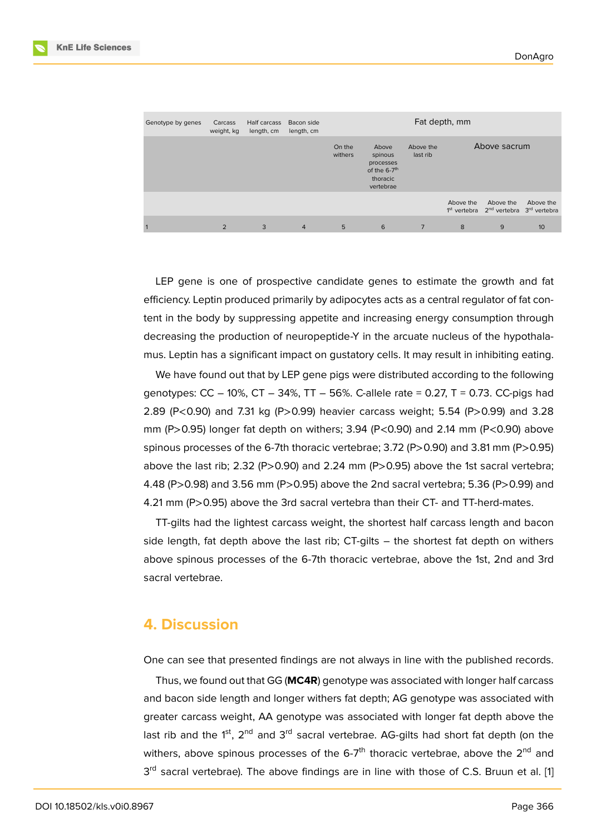| Genotype by genes | Carcass<br>weight, kg | Half carcass<br>length, cm | Bacon side<br>length, cm | Fat depth, mm     |                                                                                    |                       |              |                                                                                         |           |  |
|-------------------|-----------------------|----------------------------|--------------------------|-------------------|------------------------------------------------------------------------------------|-----------------------|--------------|-----------------------------------------------------------------------------------------|-----------|--|
|                   |                       |                            |                          | On the<br>withers | Above<br>spinous<br>processes<br>of the 6-7 <sup>th</sup><br>thoracic<br>vertebrae | Above the<br>last rib | Above sacrum |                                                                                         |           |  |
|                   |                       |                            |                          |                   |                                                                                    |                       | Above the    | Above the<br>1 <sup>st</sup> vertebra 2 <sup>nd</sup> vertebra 3 <sup>rd</sup> vertebra | Above the |  |
|                   | $\overline{2}$        | 3                          | $\overline{4}$           | 5                 | 6                                                                                  |                       | 8            | 9                                                                                       | 10        |  |

LEP gene is one of prospective candidate genes to estimate the growth and fat efficiency. Leptin produced primarily by adipocytes acts as a central regulator of fat content in the body by suppressing appetite and increasing energy consumption through decreasing the production of neuropeptide-Y in the arcuate nucleus of the hypothalamus. Leptin has a significant impact on gustatory cells. It may result in inhibiting eating.

We have found out that by LEP gene pigs were distributed according to the following genotypes:  $CC - 10$ %,  $CT - 34$ %,  $TT - 56$ %. C-allele rate = 0.27,  $T = 0.73$ .  $CC$ -pigs had 2.89 (P<0.90) and 7.31 kg (P>0.99) heavier carcass weight; 5.54 (P>0.99) and 3.28 mm (P>0.95) longer fat depth on withers; 3.94 (P<0.90) and 2.14 mm (P<0.90) above spinous processes of the 6-7th thoracic vertebrae; 3.72 (P>0.90) and 3.81 mm (P>0.95) above the last rib; 2.32 (P>0.90) and 2.24 mm (P>0.95) above the 1st sacral vertebra; 4.48 (P>0.98) and 3.56 mm (P>0.95) above the 2nd sacral vertebra; 5.36 (P>0.99) and 4.21 mm (P>0.95) above the 3rd sacral vertebra than their CT- and TT-herd-mates.

TT-gilts had the lightest carcass weight, the shortest half carcass length and bacon side length, fat depth above the last rib; CT-gilts – the shortest fat depth on withers above spinous processes of the 6-7th thoracic vertebrae, above the 1st, 2nd and 3rd sacral vertebrae.

### **4. Discussion**

One can see that presented findings are not always in line with the published records.

Thus, we found out that GG (**MC4R**) genotype was associated with longer half carcass and bacon side length and longer withers fat depth; AG genotype was associated with greater carcass weight, AA genotype was associated with longer fat depth above the last rib and the 1<sup>st</sup>, 2<sup>nd</sup> and 3<sup>rd</sup> sacral vertebrae. AG-gilts had short fat depth (on the withers, above spinous processes of the  $6-7<sup>th</sup>$  thoracic vertebrae, above the  $2<sup>nd</sup>$  and 3<sup>rd</sup> sacral vertebrae). The above findings are in line with those of C.S. Bruun et al. [1]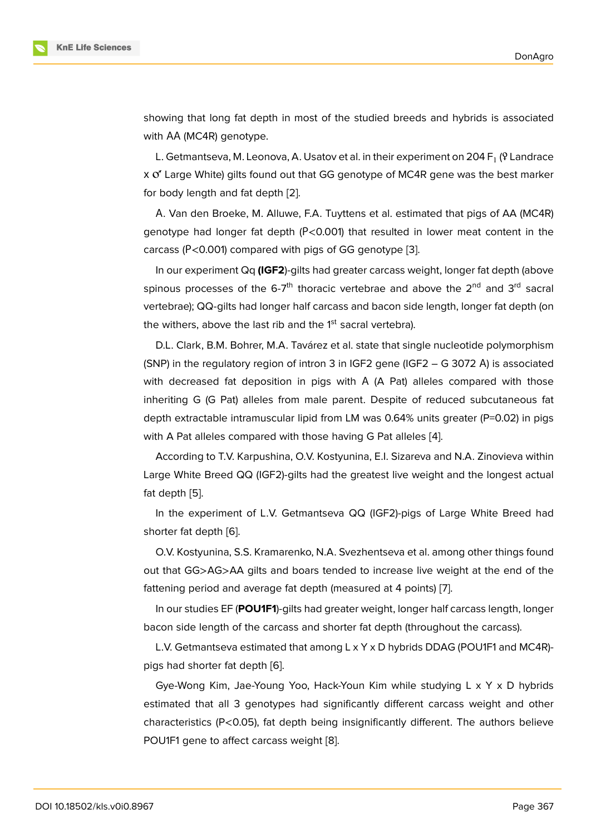showing that long fat depth in most of the studied breeds and hybrids is associated with АА (MC4R) genotype.

L. Getmantseva, M. Leonova, A. Usatov et al. in their experiment on 204 F<sub>1</sub> (º Landrace  $x \, \mathcal{O}'$  Large White) gilts found out that GG genotype of MC4R gene was the best marker for body length and fat depth [2].

А. Van den Broeke, M. Alluwe, F.A. Tuyttens et al. estimated that pigs of AA (MC4R) genotype had longer fat depth (Р<0.001) that resulted in lower meat content in the carcass (Р<0.001) compared w[ith](#page-11-0) pigs of GG genotype [3].

In our experiment Qq **(IGF2**)-gilts had greater carcass weight, longer fat depth (above spinous processes of the 6-7<sup>th</sup> thoracic vertebrae and above the  $2<sup>nd</sup>$  and  $3<sup>rd</sup>$  sacral vertebrae); QQ-gilts had longer half carcass and bacon [sid](#page-11-1)e length, longer fat depth (on the withers, above the last rib and the 1<sup>st</sup> sacral vertebra).

D.L. Clark, B.M. Bohrer, M.A. Tavárez et al. state that single nucleotide polymorphism (SNP) in the regulatory region of intron 3 in IGF2 gene (IGF2 – G 3072 А) is associated with decreased fat deposition in pigs with A (A Pat) alleles compared with those inheriting G (G Pat) alleles from male parent. Despite of reduced subcutaneous fat depth extractable intramuscular lipid from LM was 0.64% units greater (P=0.02) in pigs with A Pat alleles compared with those having G Pat alleles [4].

According to T.V. Karpushina, O.V. Kostyunina, E.I. Sizareva and N.A. Zinovieva within Large White Breed QQ (IGF2)-gilts had the greatest live weight and the longest actual fat depth [5].

In the experiment of L.V. Getmantseva QQ (IGF2)-pigs of Large White Breed had shorter fat depth [6].

O.V. Ko[sty](#page-11-2)unina, S.S. Kramarenko, N.A. Svezhentseva et al. among other things found out that GG>AG>AA gilts and boars tended to increase live weight at the end of the fattening period a[nd](#page-11-3) average fat depth (measured at 4 points) [7].

In our studies EF (**POU1F1**)-gilts had greater weight, longer half carcass length, longer bacon side length of the carcass and shorter fat depth (throughout the carcass).

L.V. Getmantseva estimated that among L x Y x D hybrids DD[A](#page-11-4)G (POU1F1 and MC4R) pigs had shorter fat depth [6].

Gye-Wong Kim, Jae-Young Yoo, Hack-Youn Kim while studying L x Y x D hybrids estimated that all 3 genotypes had significantly different carcass weight and other characteristics (P<0.05), fa[t d](#page-11-3)epth being insignificantly different. The authors believe POU1F1 gene to affect carcass weight [8].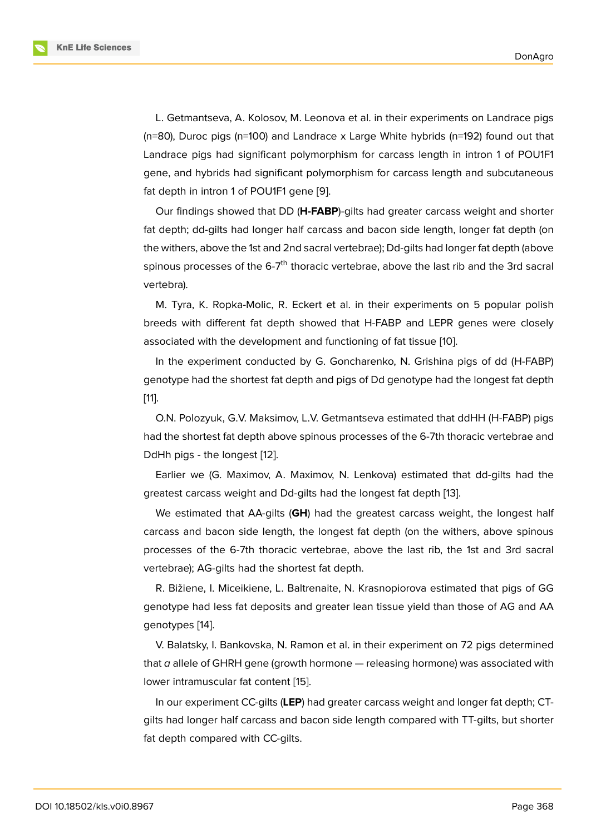L. Getmantseva, A. Kolosov, M. Leonova et al. in their experiments on Landrace pigs (n=80), Duroc pigs (n=100) and Landrace x Large White hybrids (n=192) found out that Landrace pigs had significant polymorphism for carcass length in intron 1 of POU1F1 gene, and hybrids had significant polymorphism for carcass length and subcutaneous fat depth in intron 1 of POU1F1 gene [9].

Our findings showed that DD (**H-FABP**)-gilts had greater carcass weight and shorter fat depth; dd-gilts had longer half carcass and bacon side length, longer fat depth (on the withers, above the 1st and 2nd sa[cra](#page-12-0)l vertebrae); Dd-gilts had longer fat depth (above spinous processes of the  $6-7$ <sup>th</sup> thoracic vertebrae, above the last rib and the 3rd sacral vertebra).

M. Tyra, K. Ropka-Molic, R. Eckert et al. in their experiments on 5 popular polish breeds with different fat depth showed that H-FABP and LEPR genes were closely associated with the development and functioning of fat tissue [10].

In the experiment conducted by G. Goncharenko, N. Grishina pigs of dd (H-FABP) genotype had the shortest fat depth and pigs of Dd genotype had the longest fat depth [11].

O.N. Polozyuk, G.V. Maksimov, L.V. Getmantseva estimated that ddHH (H-FABP) pigs had the shortest fat depth above spinous processes of the 6-7th thoracic vertebrae and [Dd](#page-12-1)Hh pigs - the longest [12].

Earlier we (G. Maximov, A. Maximov, N. Lenkova) estimated that dd-gilts had the greatest carcass weight and Dd-gilts had the longest fat depth [13].

We estimated that AA[-gi](#page-12-2)lts (**GH**) had the greatest carcass weight, the longest half carcass and bacon side length, the longest fat depth (on the withers, above spinous processes of the 6-7th thoracic vertebrae, above the last rib, [th](#page-12-3)e 1st and 3rd sacral vertebrae); AG-gilts had the shortest fat depth.

R. Bižiene, I. Miceikiene, L. Baltrenaite, N. Krasnopiorova estimated that pigs of GG genotype had less fat deposits and greater lean tissue yield than those of AG and AA genotypes [14].

V. Balatsky, I. Bankovska, N. Ramon et al. in their experiment on 72 pigs determined that *a* allele of GHRH gene (growth hormone — releasing hormone) was associated with lower intra[mus](#page-12-4)cular fat content [15].

In our experiment CC-gilts (**LEP**) had greater carcass weight and longer fat depth; CTgilts had longer half carcass and bacon side length compared with TT-gilts, but shorter fat depth compared with CC-gilt[s.](#page-12-5)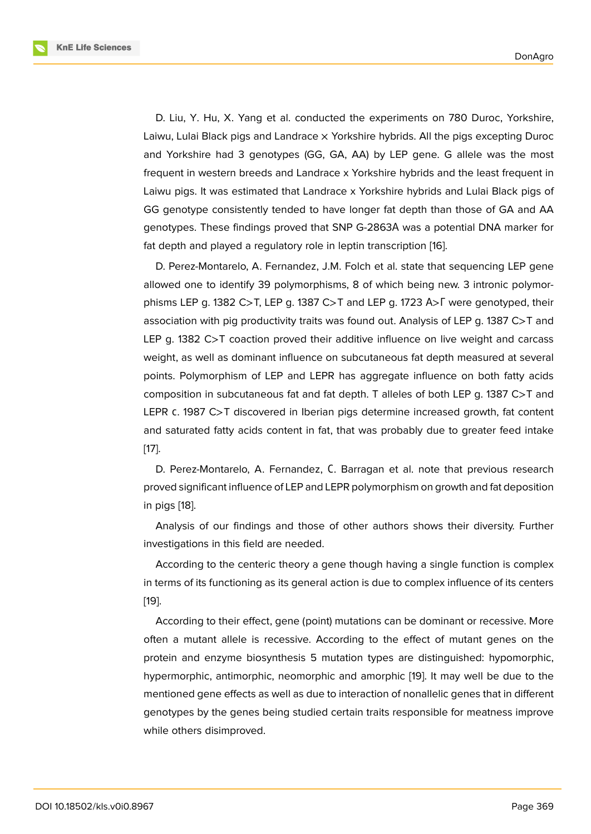D. Liu, Y. Hu, X. Yang et al. conducted the experiments on 780 Duroc, Yorkshire, Laiwu, Lulai Black pigs and Landrace x Yorkshire hybrids. All the pigs excepting Duroc and Yorkshire had 3 genotypes (GG, GA, AA) by LEP gene. G allele was the most frequent in western breeds and Landrace x Yorkshire hybrids and the least frequent in Laiwu pigs. It was estimated that Landrace x Yorkshire hybrids and Lulai Black pigs of GG genotype consistently tended to have longer fat depth than those of GA and AA genotypes. These findings proved that SNP G-2863А was a potential DNA marker for fat depth and played a regulatory role in leptin transcription [16].

D. Perez-Montarelo, A. Fernandez, J.M. Folch et al. state that sequencing LEP gene allowed one to identify 39 polymorphisms, 8 of which being new. 3 intronic polymorphisms LEP g. 1382 C>T, LEP g. 1387 C>T and LEP g. 1723 А[>](#page-12-6)Г were genotyped, their association with pig productivity traits was found out. Analysis of LEP g. 1387 C>T and LEP g. 1382 C>T coaction proved their additive influence on live weight and carcass weight, as well as dominant influence on subcutaneous fat depth measured at several points. Polymorphism of LEP and LEPR has aggregate influence on both fatty acids composition in subcutaneous fat and fat depth. T alleles of both LEP g. 1387 C>T and LEPR с. 1987 C>T discovered in Iberian pigs determine increased growth, fat content and saturated fatty acids content in fat, that was probably due to greater feed intake [17].

D. Perez-Montarelo, A. Fernandez, С. Barragan et al. note that previous research proved significant influence of LEP and LEPR polymorphism on growth and fat deposition i[n p](#page-12-7)igs [18].

Analysis of our findings and those of other authors shows their diversity. Further investigations in this field are needed.

Acco[rdi](#page-12-8)ng to the centeric theory a gene though having a single function is complex in terms of its functioning as its general action is due to complex influence of its centers [19].

According to their effect, gene (point) mutations can be dominant or recessive. More often a mutant allele is recessive. According to the effect of mutant genes on the [pro](#page-12-9)tein and enzyme biosynthesis 5 mutation types are distinguished: hypomorphic, hypermorphic, antimorphic, neomorphic and amorphic [19]. It may well be due to the mentioned gene effects as well as due to interaction of nonallelic genes that in different genotypes by the genes being studied certain traits responsible for meatness improve while others disimproved.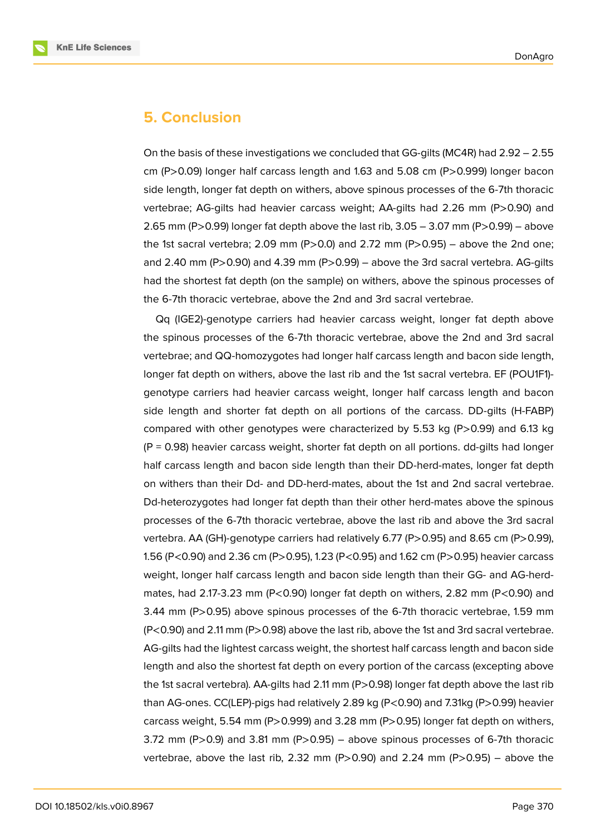

### **5. Conclusion**

On the basis of these investigations we concluded that GG-gilts (MC4R) had 2.92 – 2.55 cm (P>0.09) longer half carcass length and 1.63 and 5.08 cm (P>0.999) longer bacon side length, longer fat depth on withers, above spinous processes of the 6-7th thoracic vertebrae; AG-gilts had heavier carcass weight; AA-gilts had 2.26 mm (P>0.90) and 2.65 mm (P>0.99) longer fat depth above the last rib,  $3.05 - 3.07$  mm (P>0.99) – above the 1st sacral vertebra; 2.09 mm (P>0.0) and 2.72 mm (P>0.95) – above the 2nd one; and 2.40 mm ( $P > 0.90$ ) and 4.39 mm ( $P > 0.99$ ) – above the 3rd sacral vertebra. AG-gilts had the shortest fat depth (on the sample) on withers, above the spinous processes of the 6-7th thoracic vertebrae, above the 2nd and 3rd sacral vertebrae.

Qq (IGE2)-genotype carriers had heavier carcass weight, longer fat depth above the spinous processes of the 6-7th thoracic vertebrae, above the 2nd and 3rd sacral vertebrae; and QQ-homozygotes had longer half carcass length and bacon side length, longer fat depth on withers, above the last rib and the 1st sacral vertebra. EF (POU1F1) genotype carriers had heavier carcass weight, longer half carcass length and bacon side length and shorter fat depth on all portions of the carcass. DD-gilts (H-FABP) compared with other genotypes were characterized by 5.53 kg (P>0.99) and 6.13 kg  $(P = 0.98)$  heavier carcass weight, shorter fat depth on all portions. dd-gilts had longer half carcass length and bacon side length than their DD-herd-mates, longer fat depth on withers than their Dd- and DD-herd-mates, about the 1st and 2nd sacral vertebrae. Dd-heterozygotes had longer fat depth than their other herd-mates above the spinous processes of the 6-7th thoracic vertebrae, above the last rib and above the 3rd sacral vertebra. AA (GH)-genotype carriers had relatively 6.77 (P>0.95) and 8.65 cm (P>0.99), 1.56 (P<0.90) and 2.36 cm (P>0.95), 1.23 (P<0.95) and 1.62 cm (P>0.95) heavier carcass weight, longer half carcass length and bacon side length than their GG- and AG-herdmates, had 2.17-3.23 mm (P<0.90) longer fat depth on withers, 2.82 mm (P<0.90) and 3.44 mm (P>0.95) above spinous processes of the 6-7th thoracic vertebrae, 1.59 mm (P<0.90) and 2.11 mm (P>0.98) above the last rib, above the 1st and 3rd sacral vertebrae. AG-gilts had the lightest carcass weight, the shortest half carcass length and bacon side length and also the shortest fat depth on every portion of the carcass (excepting above the 1st sacral vertebra). AA-gilts had 2.11 mm (P>0.98) longer fat depth above the last rib than AG-ones. CC(LEP)-pigs had relatively 2.89 kg (P<0.90) and 7.31kg (P>0.99) heavier carcass weight,  $5.54$  mm (P $>0.999$ ) and  $3.28$  mm (P $>0.95$ ) longer fat depth on withers, 3.72 mm (P>0.9) and 3.81 mm (P>0.95) – above spinous processes of 6-7th thoracic vertebrae, above the last rib, 2.32 mm (P>0.90) and 2.24 mm (P>0.95) – above the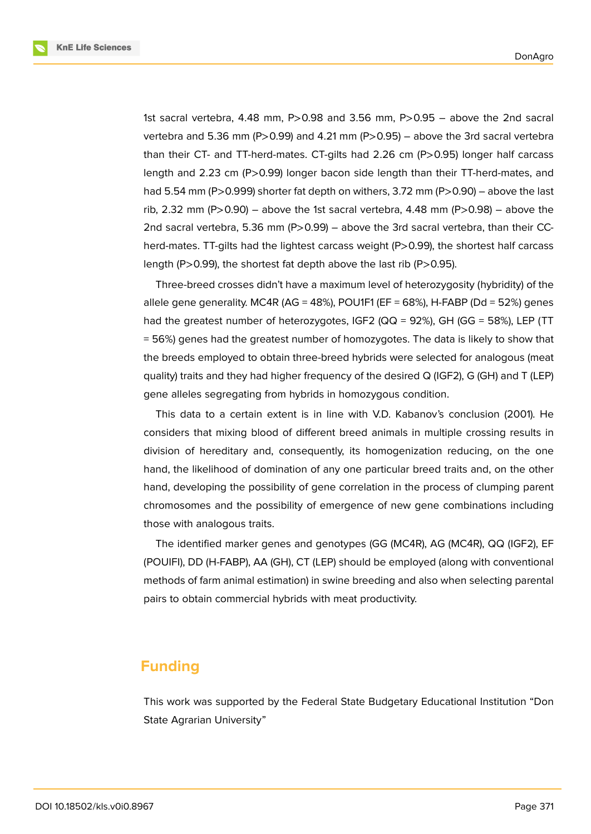

1st sacral vertebra, 4.48 mm, P>0.98 and 3.56 mm, P>0.95 – above the 2nd sacral vertebra and 5.36 mm (P>0.99) and 4.21 mm (P>0.95) – above the 3rd sacral vertebra than their CT- and TT-herd-mates. CT-gilts had 2.26 cm (P>0.95) longer half carcass length and 2.23 cm (P>0.99) longer bacon side length than their TT-herd-mates, and had 5.54 mm (P>0.999) shorter fat depth on withers, 3.72 mm (P>0.90) – above the last rib, 2.32 mm (P>0.90) – above the 1st sacral vertebra, 4.48 mm (P>0.98) – above the 2nd sacral vertebra, 5.36 mm (P $>$ 0.99) – above the 3rd sacral vertebra, than their CCherd-mates. TT-gilts had the lightest carcass weight (P>0.99), the shortest half carcass length (P>0.99), the shortest fat depth above the last rib (P>0.95).

Three-breed crosses didn't have a maximum level of heterozygosity (hybridity) of the allele gene generality. MC4R ( $AG = 48\%$ ), POU1F1 (EF = 68%), H-FABP (Dd = 52%) genes had the greatest number of heterozygotes, IGF2 (QQ = 92%), GH (GG = 58%), LEP (TT = 56%) genes had the greatest number of homozygotes. The data is likely to show that the breeds employed to obtain three-breed hybrids were selected for analogous (meat quality) traits and they had higher frequency of the desired Q (IGF2), G (GH) and T (LEP) gene alleles segregating from hybrids in homozygous condition.

This data to a certain extent is in line with V.D. Kabanov's conclusion (2001). He considers that mixing blood of different breed animals in multiple crossing results in division of hereditary and, consequently, its homogenization reducing, on the one hand, the likelihood of domination of any one particular breed traits and, on the other hand, developing the possibility of gene correlation in the process of clumping parent chromosomes and the possibility of emergence of new gene combinations including those with analogous traits.

The identified marker genes and genotypes (GG (MC4R), AG (MC4R), QQ (IGF2), EF (POUIFI), DD (H-FABP), AA (GH), CT (LEP) should be employed (along with conventional methods of farm animal estimation) in swine breeding and also when selecting parental pairs to obtain commercial hybrids with meat productivity.

## **Funding**

This work was supported by the Federal State Budgetary Educational Institution "Don State Agrarian University"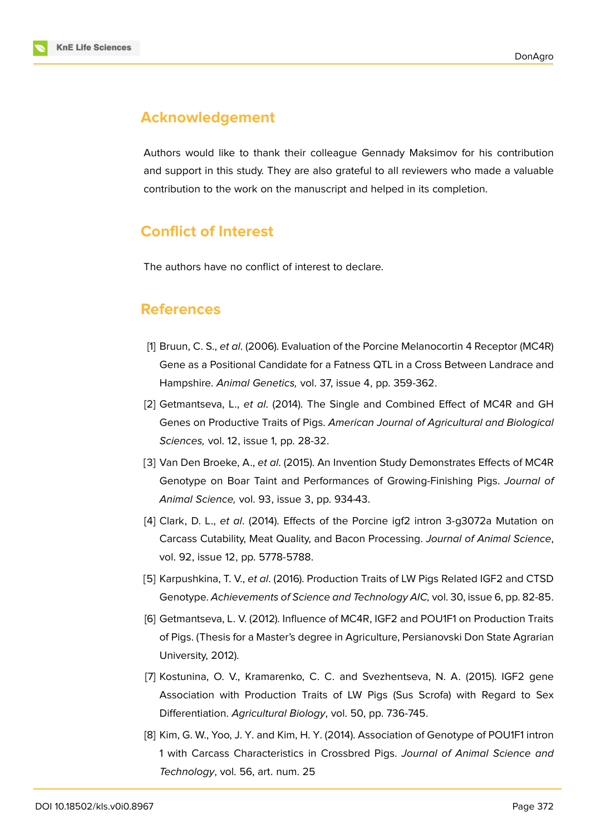

# **Acknowledgement**

Authors would like to thank their colleague Gennady Maksimov for his contribution and support in this study. They are also grateful to all reviewers who made a valuable contribution to the work on the manuscript and helped in its completion.

# **Conflict of Interest**

The authors have no conflict of interest to declare.

# **References**

- [1] Bruun, C. S., *et al*. (2006). Evaluation of the Porcine Melanocortin 4 Receptor (MC4R) Gene as a Positional Candidate for a Fatness QTL in a Cross Between Landrace and Hampshire. *Animal Genetics,* vol. 37, issue 4, pp. 359-362.
- <span id="page-11-0"></span>[2] Getmantseva, L., *et al*. (2014). The Single and Combined Effect of MC4R and GH Genes on Productive Traits of Pigs. *American Journal of Agricultural and Biological Sciences,* vol. 12, issue 1, pp. 28-32.
- <span id="page-11-1"></span>[3] Van Den Broeke, A., *et al*. (2015). An Invention Study Demonstrates Effects of MC4R Genotype on Boar Taint and Performances of Growing-Finishing Pigs. *Journal of Animal Science,* vol. 93, issue 3, pp. 934-43.
- [4] Clark, D. L., *et al*. (2014). Effects of the Porcine igf2 intron 3-g3072a Mutation on Carcass Cutability, Meat Quality, and Bacon Processing. *Journal of Animal Science*, vol. 92, issue 12, pp. 5778-5788.
- <span id="page-11-2"></span>[5] Karpushkina, T. V., *et al*. (2016). Production Traits of LW Pigs Related IGF2 and CTSD Genotype. *Achievements of Science and Technology AIC,* vol. 30, issue 6, pp. 82-85.
- <span id="page-11-3"></span>[6] Getmantseva, L. V. (2012). Influence of MC4R, IGF2 and POU1F1 on Production Traits of Pigs. (Thesis for a Master's degree in Agriculture, Persianovski Don State Agrarian University, 2012).
- <span id="page-11-4"></span>[7] Kostunina, O. V., Kramarenko, C. C. and Svezhentseva, N. A. (2015). IGF2 gene Association with Production Traits of LW Pigs (Sus Scrofa) with Regard to Sex Differentiation. *Agricultural Biology*, vol. 50, pp. 736-745.
- [8] Kim, G. W., Yoo, J. Y. and Kim, H. Y. (2014). Association of Genotype of POU1F1 intron 1 with Carcass Characteristics in Crossbred Pigs. *Journal of Animal Science and Technology*, vol. 56, art. num. 25